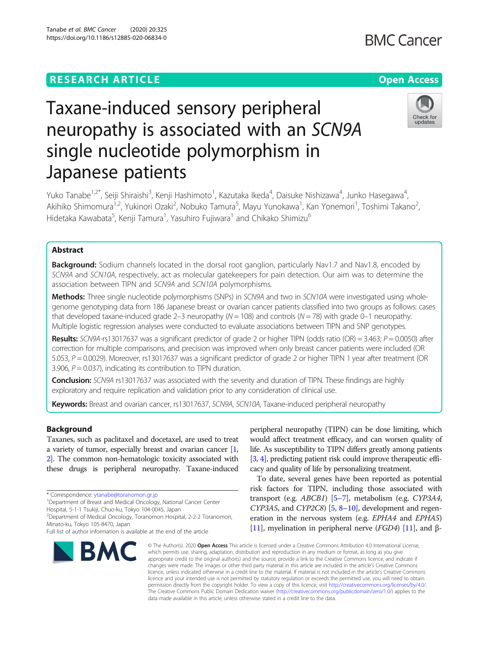# **RESEARCH ARTICLE Example 2014 12:30 The Contract of Contract ACCESS**

# Tanabe et al. BMC Cancer (2020) 20:325 https://doi.org/10.1186/s12885-020-06834-0

# Taxane-induced sensory peripheral neuropathy is associated with an SCN9A single nucleotide polymorphism in Japanese patients

Yuko Tanabe<sup>1,2\*</sup>, Seiji Shiraishi<sup>3</sup>, Kenji Hashimoto<sup>1</sup>, Kazutaka Ikeda<sup>4</sup>, Daisuke Nishizawa<sup>4</sup>, Junko Hasegawa<sup>4</sup> , Akihiko Shimomura<sup>1,2</sup>, Yukinori Ozaki<sup>2</sup>, Nobuko Tamura<sup>5</sup>, Mayu Yunokawa<sup>1</sup>, Kan Yonemori<sup>1</sup>, Toshimi Takano<sup>2</sup> .<br>, Hidetaka Kawabata<sup>5</sup>, Kenji Tamura<sup>1</sup>, Yasuhiro Fujiwara<sup>1</sup> and Chikako Shimizu<sup>6</sup>

# Abstract

Background: Sodium channels located in the dorsal root ganglion, particularly Nav1.7 and Nav1.8, encoded by SCN9A and SCN10A, respectively, act as molecular gatekeepers for pain detection. Our aim was to determine the association between TIPN and SCN9A and SCN10A polymorphisms.

Methods: Three single nucleotide polymorphisms (SNPs) in SCN9A and two in SCN10A were investigated using wholegenome genotyping data from 186 Japanese breast or ovarian cancer patients classified into two groups as follows: cases that developed taxane-induced grade 2–3 neuropathy ( $N = 108$ ) and controls ( $N = 78$ ) with grade 0–1 neuropathy. Multiple logistic regression analyses were conducted to evaluate associations between TIPN and SNP genotypes.

**Results:** SCN9A-rs13017637 was a significant predictor of grade 2 or higher TIPN (odds ratio (OR) = 3.463;  $P = 0.0050$ ) after correction for multiple comparisons, and precision was improved when only breast cancer patients were included (OR 5.053, P = 0.0029). Moreover, rs13017637 was a significant predictor of grade 2 or higher TIPN 1 year after treatment (OR 3.906,  $P = 0.037$ ), indicating its contribution to TIPN duration.

**Conclusion:** SCN9A rs13017637 was associated with the severity and duration of TIPN. These findings are highly exploratory and require replication and validation prior to any consideration of clinical use.

Keywords: Breast and ovarian cancer, rs13017637, SCN9A, SCN10A, Taxane-induced peripheral neuropathy

# Background

Taxanes, such as paclitaxel and docetaxel, are used to treat a variety of tumor, especially breast and ovarian cancer [[1](#page-5-0), [2](#page-5-0)]. The common non-hematologic toxicity associated with these drugs is peripheral neuropathy. Taxane-induced

Full list of author information is available at the end of the article





peripheral neuropathy (TIPN) can be dose limiting, which would affect treatment efficacy, and can worsen quality of life. As susceptibility to TIPN differs greatly among patients [[3](#page-5-0), [4\]](#page-5-0), predicting patient risk could improve therapeutic efficacy and quality of life by personalizing treatment.

To date, several genes have been reported as potential risk factors for TIPN, including those associated with transport (e.g. ABCB1) [\[5](#page-5-0)–[7\]](#page-5-0), metabolism (e.g. CYP3A4,  $CYP3A5$ , and  $CYP2C8$  $CYP2C8$  [\[5](#page-5-0), 8–[10](#page-5-0)], development and regeneration in the nervous system (e.g. EPHA4 and EPHA5) [[11](#page-5-0)], myelination in peripheral nerve (*FGD4*) [11], and β-

© The Author(s), 2020 **Open Access** This article is licensed under a Creative Commons Attribution 4.0 International License, which permits use, sharing, adaptation, distribution and reproduction in any medium or format, as long as you give appropriate credit to the original author(s) and the source, provide a link to the Creative Commons licence, and indicate if changes were made. The images or other third party material in this article are included in the article's Creative Commons licence, unless indicated otherwise in a credit line to the material. If material is not included in the article's Creative Commons licence and your intended use is not permitted by statutory regulation or exceeds the permitted use, you will need to obtain permission directly from the copyright holder. To view a copy of this licence, visit [http://creativecommons.org/licenses/by/4.0/.](http://creativecommons.org/licenses/by/4.0/) The Creative Commons Public Domain Dedication waiver [\(http://creativecommons.org/publicdomain/zero/1.0/](http://creativecommons.org/publicdomain/zero/1.0/)) applies to the data made available in this article, unless otherwise stated in a credit line to the data.



<sup>\*</sup> Correspondence: [ytanabe@toranomon.gr.jp](mailto:ytanabe@toranomon.gr.jp) <sup>1</sup>

<sup>&</sup>lt;sup>1</sup>Department of Breast and Medical Oncology, National Cancer Center

<sup>2</sup> Department of Medical Oncology, Toranomon Hospital, 2-2-2 Toranomon, Minato-ku, Tokyo 105-8470, Japan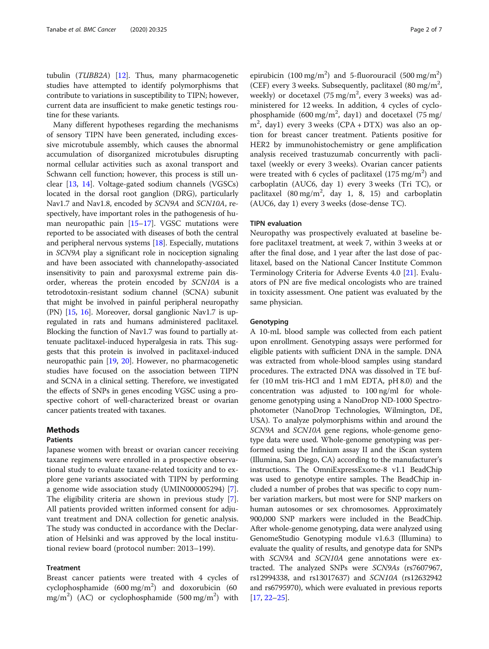tubulin (TUBB2A) [[12](#page-5-0)]. Thus, many pharmacogenetic studies have attempted to identify polymorphisms that contribute to variations in susceptibility to TIPN; however, current data are insufficient to make genetic testings routine for these variants.

Many different hypotheses regarding the mechanisms of sensory TIPN have been generated, including excessive microtubule assembly, which causes the abnormal accumulation of disorganized microtubules disrupting normal cellular activities such as axonal transport and Schwann cell function; however, this process is still unclear [[13](#page-5-0), [14\]](#page-5-0). Voltage-gated sodium channels (VGSCs) located in the dorsal root ganglion (DRG), particularly Nav1.7 and Nav1.8, encoded by SCN9A and SCN10A, respectively, have important roles in the pathogenesis of human neuropathic pain [\[15](#page-5-0)–[17](#page-5-0)]. VGSC mutations were reported to be associated with diseases of both the central and peripheral nervous systems [[18](#page-5-0)]. Especially, mutations in SCN9A play a significant role in nociception signaling and have been associated with channelopathy-associated insensitivity to pain and paroxysmal extreme pain disorder, whereas the protein encoded by SCN10A is a tetrodotoxin-resistant sodium channel (SCNA) subunit that might be involved in painful peripheral neuropathy (PN) [[15](#page-5-0), [16\]](#page-5-0). Moreover, dorsal ganglionic Nav1.7 is upregulated in rats and humans administered paclitaxel. Blocking the function of Nav1.7 was found to partially attenuate paclitaxel-induced hyperalgesia in rats. This suggests that this protein is involved in paclitaxel-induced neuropathic pain [\[19](#page-5-0), [20](#page-5-0)]. However, no pharmacogenetic studies have focused on the association between TIPN and SCNA in a clinical setting. Therefore, we investigated the effects of SNPs in genes encoding VGSC using a prospective cohort of well-characterized breast or ovarian cancer patients treated with taxanes.

## Methods

## Patients

Japanese women with breast or ovarian cancer receiving taxane regimens were enrolled in a prospective observational study to evaluate taxane-related toxicity and to explore gene variants associated with TIPN by performing a genome wide association study (UMIN000005294) [\[7](#page-5-0)]. The eligibility criteria are shown in previous study [\[7](#page-5-0)]. All patients provided written informed consent for adjuvant treatment and DNA collection for genetic analysis. The study was conducted in accordance with the Declaration of Helsinki and was approved by the local institutional review board (protocol number: 2013–199).

# Treatment

Breast cancer patients were treated with 4 cycles of cyclophosphamide  $(600 \text{ mg/m}^2)$  and doxorubicin  $(600 \text{ mg/m}^2)$  $\text{mg/m}^2$ ) (AC) or cyclophosphamide (500 mg/m<sup>2</sup>) with

epirubicin (100 mg/m<sup>2</sup>) and 5-fluorouracil (500 mg/m<sup>2</sup>) (CEF) every 3 weeks. Subsequently, paclitaxel  $(80 \text{ mg/m}^2,$ weekly) or docetaxel (75 mg/m<sup>2</sup>, every 3 weeks) was administered for 12 weeks. In addition, 4 cycles of cyclophosphamide (600 mg/m<sup>2</sup>, day1) and docetaxel (75 mg/ m2 , day1) every 3 weeks (CPA + DTX) was also an option for breast cancer treatment. Patients positive for HER2 by immunohistochemistry or gene amplification analysis received trastuzumab concurrently with paclitaxel (weekly or every 3 weeks). Ovarian cancer patients were treated with 6 cycles of paclitaxel  $(175 \text{ mg/m}^2)$  and carboplatin (AUC6, day 1) every 3 weeks (Tri TC), or paclitaxel  $(80 \text{ mg/m}^2, \text{ day } 1, 8, 15)$  and carboplatin (AUC6, day 1) every 3 weeks (dose-dense TC).

#### TIPN evaluation

Neuropathy was prospectively evaluated at baseline before paclitaxel treatment, at week 7, within 3 weeks at or after the final dose, and 1 year after the last dose of paclitaxel, based on the National Cancer Institute Common Terminology Criteria for Adverse Events 4.0 [\[21](#page-5-0)]. Evaluators of PN are five medical oncologists who are trained in toxicity assessment. One patient was evaluated by the same physician.

## **Genotyping**

A 10-mL blood sample was collected from each patient upon enrollment. Genotyping assays were performed for eligible patients with sufficient DNA in the sample. DNA was extracted from whole-blood samples using standard procedures. The extracted DNA was dissolved in TE buffer (10 mM tris-HCl and 1 mM EDTA, pH 8.0) and the concentration was adjusted to 100 ng/ml for wholegenome genotyping using a NanoDrop ND-1000 Spectrophotometer (NanoDrop Technologies, Wilmington, DE, USA). To analyze polymorphisms within and around the SCN9A and SCN10A gene regions, whole-genome genotype data were used. Whole-genome genotyping was performed using the Infinium assay II and the iScan system (Illumina, San Diego, CA) according to the manufacturer's instructions. The OmniExpressExome-8 v1.1 BeadChip was used to genotype entire samples. The BeadChip included a number of probes that was specific to copy number variation markers, but most were for SNP markers on human autosomes or sex chromosomes. Approximately 900,000 SNP markers were included in the BeadChip. After whole-genome genotyping, data were analyzed using GenomeStudio Genotyping module v1.6.3 (Illumina) to evaluate the quality of results, and genotype data for SNPs with SCN9A and SCN10A gene annotations were extracted. The analyzed SNPs were SCN9As (rs7607967, rs12994338, and rs13017637) and SCN10A (rs12632942 and rs6795970), which were evaluated in previous reports [[17](#page-5-0), [22](#page-5-0)–[25](#page-6-0)].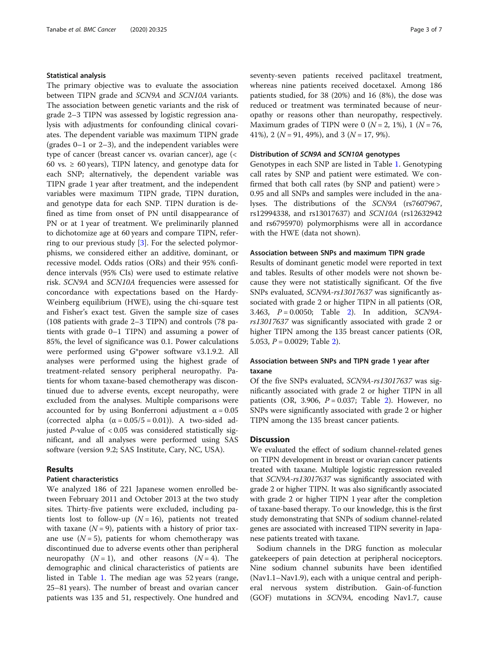## Statistical analysis

The primary objective was to evaluate the association between TIPN grade and SCN9A and SCN10A variants. The association between genetic variants and the risk of grade 2–3 TIPN was assessed by logistic regression analysis with adjustments for confounding clinical covariates. The dependent variable was maximum TIPN grade (grades 0–1 or 2–3), and the independent variables were type of cancer (breast cancer vs. ovarian cancer), age (< 60 vs.  $\geq$  60 years), TIPN latency, and genotype data for each SNP; alternatively, the dependent variable was TIPN grade 1 year after treatment, and the independent variables were maximum TIPN grade, TIPN duration, and genotype data for each SNP. TIPN duration is defined as time from onset of PN until disappearance of PN or at 1 year of treatment. We preliminarily planned to dichotomize age at 60 years and compare TIPN, referring to our previous study [[3\]](#page-5-0). For the selected polymorphisms, we considered either an additive, dominant, or recessive model. Odds ratios (ORs) and their 95% confidence intervals (95% CIs) were used to estimate relative risk. SCN9A and SCN10A frequencies were assessed for concordance with expectations based on the Hardy-Weinberg equilibrium (HWE), using the chi-square test and Fisher's exact test. Given the sample size of cases (108 patients with grade 2–3 TIPN) and controls (78 patients with grade 0–1 TIPN) and assuming a power of 85%, the level of significance was 0.1. Power calculations were performed using G\*power software v3.1.9.2. All analyses were performed using the highest grade of treatment-related sensory peripheral neuropathy. Patients for whom taxane-based chemotherapy was discontinued due to adverse events, except neuropathy, were excluded from the analyses. Multiple comparisons were accounted for by using Bonferroni adjustment  $\alpha = 0.05$ (corrected alpha  $(\alpha = 0.05/5 = 0.01)$ ). A two-sided adjusted  $P$ -value of < 0.05 was considered statistically significant, and all analyses were performed using SAS software (version 9.2; SAS Institute, Cary, NC, USA).

# Results

# Patient characteristics

We analyzed 186 of 221 Japanese women enrolled between February 2011 and October 2013 at the two study sites. Thirty-five patients were excluded, including patients lost to follow-up ( $N = 16$ ), patients not treated with taxane  $(N = 9)$ , patients with a history of prior taxane use  $(N = 5)$ , patients for whom chemotherapy was discontinued due to adverse events other than peripheral neuropathy  $(N = 1)$ , and other reasons  $(N = 4)$ . The demographic and clinical characteristics of patients are listed in Table [1](#page-3-0). The median age was 52 years (range, 25–81 years). The number of breast and ovarian cancer patients was 135 and 51, respectively. One hundred and seventy-seven patients received paclitaxel treatment, whereas nine patients received docetaxel. Among 186 patients studied, for 38 (20%) and 16 (8%), the dose was reduced or treatment was terminated because of neuropathy or reasons other than neuropathy, respectively. Maximum grades of TIPN were 0 ( $N = 2$ , 1%), 1 ( $N = 76$ , 41%), 2 ( $N = 91, 49\%$ ), and 3 ( $N = 17, 9\%$ ).

#### Distribution of SCN9A and SCN10A genotypes

Genotypes in each SNP are listed in Table [1.](#page-3-0) Genotyping call rates by SNP and patient were estimated. We confirmed that both call rates (by SNP and patient) were > 0.95 and all SNPs and samples were included in the analyses. The distributions of the SCN9A (rs7607967, rs12994338, and rs13017637) and SCN10A (rs12632942 and rs6795970) polymorphisms were all in accordance with the HWE (data not shown).

#### Association between SNPs and maximum TIPN grade

Results of dominant genetic model were reported in text and tables. Results of other models were not shown because they were not statistically significant. Of the five SNPs evaluated, SCN9A-rs13017637 was significantly associated with grade 2 or higher TIPN in all patients (OR, 3.463,  $P = 0.0050$ ; Table [2\)](#page-4-0). In addition, SCN9Ars13017637 was significantly associated with grade 2 or higher TIPN among the 135 breast cancer patients (OR, 5.053,  $P = 0.0029$  $P = 0.0029$  $P = 0.0029$ ; Table 2).

# Association between SNPs and TIPN grade 1 year after taxane

Of the five SNPs evaluated, SCN9A-rs13017637 was significantly associated with grade 2 or higher TIPN in all patients (OR, 3.906,  $P = 0.037$ ; Table [2](#page-4-0)). However, no SNPs were significantly associated with grade 2 or higher TIPN among the 135 breast cancer patients.

# **Discussion**

We evaluated the effect of sodium channel-related genes on TIPN development in breast or ovarian cancer patients treated with taxane. Multiple logistic regression revealed that SCN9A-rs13017637 was significantly associated with grade 2 or higher TIPN. It was also significantly associated with grade 2 or higher TIPN 1 year after the completion of taxane-based therapy. To our knowledge, this is the first study demonstrating that SNPs of sodium channel-related genes are associated with increased TIPN severity in Japanese patients treated with taxane.

Sodium channels in the DRG function as molecular gatekeepers of pain detection at peripheral nociceptors. Nine sodium channel subunits have been identified (Nav1.1–Nav1.9), each with a unique central and peripheral nervous system distribution. Gain-of-function (GOF) mutations in SCN9A, encoding Nav1.7, cause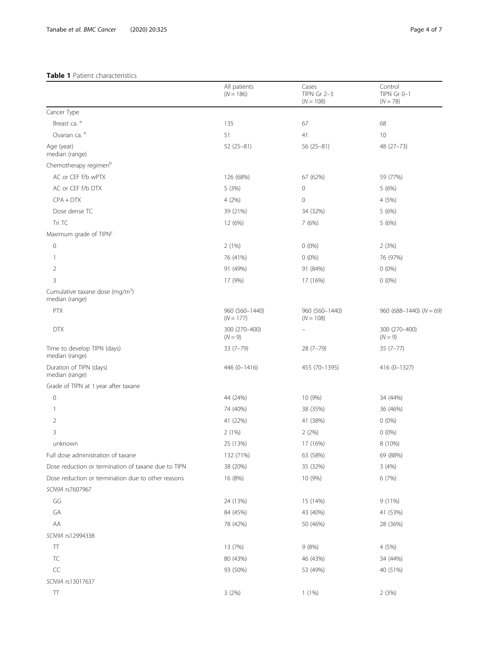# <span id="page-3-0"></span>Table 1 Patient characteristics

|                                                               | All patients<br>$(N = 186)$   | Cases<br>TIPN Gr 2-3<br>$(N = 108)$ | Control<br>TIPN Gr 0-1<br>$(N = 78)$ |
|---------------------------------------------------------------|-------------------------------|-------------------------------------|--------------------------------------|
| Cancer Type                                                   |                               |                                     |                                      |
| Breast ca. a                                                  | 135                           | 67                                  | 68                                   |
| Ovarian ca. a                                                 | 51                            | 41                                  | 10                                   |
| Age (year)<br>median (range)                                  | $52(25-81)$                   | $56(25-81)$                         | 48 (27-73)                           |
| Chemotherapy regimen <sup>b</sup>                             |                               |                                     |                                      |
| AC or CEF f/b wPTX                                            | 126 (68%)                     | 67 (62%)                            | 59 (77%)                             |
| AC or CEF f/b DTX                                             | 5(3%)                         | 0                                   | 5(6%)                                |
| $CPA + DTX$                                                   | 4(2%)                         | 0                                   | 4 (5%)                               |
| Dose dense TC                                                 | 39 (21%)                      | 34 (32%)                            | 5 (6%)                               |
| Tri TC                                                        | 12 (6%)                       | 7(6%)                               | 5(6%)                                |
| Maximum grade of TIPN <sup>c</sup>                            |                               |                                     |                                      |
| $\mathbb O$                                                   | 2(1%)                         | $0(0\%)$                            | 2(3%)                                |
| 1                                                             | 76 (41%)                      | $0(0\%)$                            | 76 (97%)                             |
| 2                                                             | 91 (49%)                      | 91 (84%)                            | $0(0\%)$                             |
| 3                                                             | 17 (9%)                       | 17 (16%)                            | $0(0\%)$                             |
| Cumulative taxane dose (mg/m <sup>2</sup> )<br>median (range) |                               |                                     |                                      |
| PTX                                                           | 960 (560-1440)<br>$(N = 177)$ | 960 (560-1440)<br>$(N = 108)$       | $960 (688 - 1440) (N = 69)$          |
| <b>DTX</b>                                                    | 300 (270-400)<br>$(N = 9)$    |                                     | 300 (270-400)<br>$(N = 9)$           |
| Time to develop TIPN (days)<br>median (range)                 | $33(7-79)$                    | 28 (7–79)                           | $35(7-77)$                           |
| Duration of TIPN (days)<br>median (range)                     | 446 (0-1416)                  | 455 (70-1395)                       | 416 (0-1327)                         |
| Grade of TIPN at 1 year after taxane                          |                               |                                     |                                      |
| $\mathbf 0$                                                   | 44 (24%)                      | 10 (9%)                             | 34 (44%)                             |
| 1                                                             | 74 (40%)                      | 38 (35%)                            | 36 (46%)                             |
| 2                                                             | 41 (22%)                      | 41 (38%)                            | $0(0\%)$                             |
| 3                                                             | 2(1%)                         | 2(2%)                               | $0(0\%)$                             |
| unknown                                                       | 25 (13%)                      | 17 (16%)                            | 8 (10%)                              |
| Full dose administration of taxane                            | 132 (71%)                     | 63 (58%)                            | 69 (88%)                             |
| Dose reduction or termination of taxane due to TIPN           | 38 (20%)                      | 35 (32%)                            | 3(4%)                                |
| Dose reduction or termination due to other reasons            | 16 (8%)                       | 10 (9%)                             | 6 (7%)                               |
| SCN9A rs7607967                                               |                               |                                     |                                      |
| GG                                                            | 24 (13%)                      | 15 (14%)                            | 9(11%)                               |
| GA                                                            | 84 (45%)                      | 43 (40%)                            | 41 (53%)                             |
| AA                                                            | 78 (42%)                      | 50 (46%)                            | 28 (36%)                             |
| SCN9A rs12994338                                              |                               |                                     |                                      |
| Π                                                             | 13 (7%)                       | 9(8%)                               | 4 (5%)                               |
| TC                                                            | 80 (43%)                      | 46 (43%)                            | 34 (44%)                             |
| $\subset \subset$                                             | 93 (50%)                      | 53 (49%)                            | 40 (51%)                             |
| SCN9A rs13017637                                              |                               |                                     |                                      |
| $\top\top$                                                    | 3(2%)                         | 1(1%)                               | 2(3%)                                |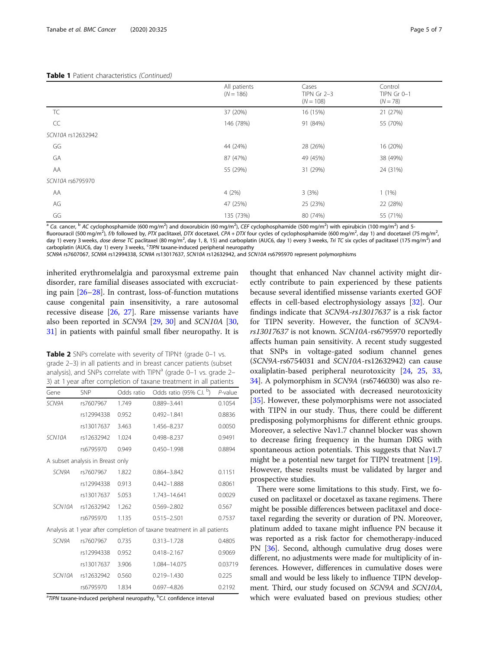## <span id="page-4-0"></span>Table 1 Patient characteristics (Continued)

|                   | All patients<br>$(N = 186)$ | Cases<br>$TIPN$ Gr 2-3<br>$(N = 108)$ | Control<br>TIPN Gr 0-1<br>$(N = 78)$ |
|-------------------|-----------------------------|---------------------------------------|--------------------------------------|
| TC                | 37 (20%)                    | 16 (15%)                              | 21 (27%)                             |
| CC                | 146 (78%)                   | 91 (84%)                              | 55 (70%)                             |
| SCN10A rs12632942 |                             |                                       |                                      |
| GG                | 44 (24%)                    | 28 (26%)                              | 16 (20%)                             |
| GA                | 87 (47%)                    | 49 (45%)                              | 38 (49%)                             |
| AA                | 55 (29%)                    | 31 (29%)                              | 24 (31%)                             |
| SCN10A rs6795970  |                             |                                       |                                      |
| AA                | 4(2%)                       | 3(3%)                                 | $1(1\%)$                             |
| AG                | 47 (25%)                    | 25 (23%)                              | 22 (28%)                             |
| GG                | 135 (73%)                   | 80 (74%)                              | 55 (71%)                             |

<sup>a</sup> Ca. cancer, <sup>b</sup> AC cyclophosphamide (600 mg/m<sup>2</sup>) and doxorubicin (60 mg/m<sup>2</sup>), CEF cyclophosphamide (500 mg/m<sup>2</sup>) with epirubicin (100 mg/m<sup>2</sup>) and 5fluorouracil (500 mg/m<sup>2</sup>), f/b followed by, PTX paclitaxel, DTX docetaxel, CPA + DTX four cycles of cyclophosphamide (600 mg/m<sup>2</sup>, day 1) and docetaxel (75 mg/m<sup>2</sup> day 1) every 3 weeks, dose dense TC paclitaxel (80 mg/m<sup>2</sup>, day 1, 8, 15) and carboplatin (AUC6, day 1) every 3 weeks, Tri TC six cycles of paclitaxel (175 mg/m<sup>2</sup>) and

carboplatin (AUC6, day 1) every 3 weeks, <sup>c</sup>TIPN taxane-induced peripheral neuropathy

SCN9A rs7607067, SCN9A rs12994338, SCN9A rs13017637, SCN10A rs12632942, and SCN10A rs6795970 represent polymorphisms

inherited erythromelalgia and paroxysmal extreme pain disorder, rare familial diseases associated with excruciating pain [[26](#page-6-0)–[28](#page-6-0)]. In contrast, loss-of-function mutations cause congenital pain insensitivity, a rare autosomal recessive disease [[26,](#page-6-0) [27\]](#page-6-0). Rare missense variants have also been reported in SCN9A [[29,](#page-6-0) [30](#page-6-0)] and SCN10A [[30](#page-6-0), [31\]](#page-6-0) in patients with painful small fiber neuropathy. It is

Table 2 SNPs correlate with severity of TIPN† (grade 0-1 vs. grade 2–3) in all patients and in breast cancer patients (subset analysis), and SNPs correlate with TIPN<sup>a</sup> (grade 0-1 vs. grade 2-3) at 1 year after completion of taxane treatment in all patients

| Gene   | <b>SNP</b>                       | Odds ratio | Odds ratio (95% C.I. b)                                                 | $P$ -value |
|--------|----------------------------------|------------|-------------------------------------------------------------------------|------------|
| SCN9A  | rs7607967                        | 1.749      | 0.889-3.441                                                             | 0.1054     |
|        | rs12994338                       | 0.952      | $0.492 - 1.841$                                                         | 0.8836     |
|        | rs13017637                       | 3.463      | 1.456-8.237                                                             | 0.0050     |
| SCN10A | rs12632942                       | 1.024      | 0.498-8.237                                                             | 0.9491     |
|        | rs6795970                        | 0.949      | 0.450-1.998                                                             | 0.8894     |
|        | A subset analysis in Breast only |            |                                                                         |            |
| SCN9A  | rs7607967                        | 1.822      | 0.864-3.842                                                             | 0.1151     |
|        | rs12994338                       | 0.913      | $0.442 - 1.888$                                                         | 0.8061     |
|        | rs13017637                       | 5.053      | 1.743-14.641                                                            | 0.0029     |
| SCN10A | rs12632942                       | 1.262      | 0.569-2.802                                                             | 0.567      |
|        | rs6795970                        | 1.135      | $0.515 - 2.501$                                                         | 0.7537     |
|        |                                  |            | Analysis at 1 year after completion of taxane treatment in all patients |            |
| SCN9A  | rs7607967                        | 0.735      | 0.313-1.728                                                             | 0.4805     |
|        | rs12994338                       | 0.952      | $0.418 - 2.167$                                                         | 0.9069     |
|        | rs13017637                       | 3.906      | 1.084-14.075                                                            | 0.03719    |
| SCN10A | rs12632942                       | 0.560      | 0.219-1.430                                                             | 0.225      |
|        | rs6795970                        | 1.834      | 0.697-4.826                                                             | 0.2192     |

<sup>a</sup>TIPN taxane-induced peripheral neuropathy, <sup>b</sup>C.I. confidence interval

thought that enhanced Nav channel activity might directly contribute to pain experienced by these patients because several identified missense variants exerted GOF effects in cell-based electrophysiology assays [[32\]](#page-6-0). Our findings indicate that SCN9A-rs13017637 is a risk factor for TIPN severity. However, the function of SCN9Ars13017637 is not known. SCN10A-rs6795970 reportedly affects human pain sensitivity. A recent study suggested that SNPs in voltage-gated sodium channel genes (SCN9A-rs6754031 and SCN10A-rs12632942) can cause oxaliplatin-based peripheral neurotoxicity [[24](#page-6-0), [25](#page-6-0), [33](#page-6-0), [34\]](#page-6-0). A polymorphism in SCN9A (rs6746030) was also reported to be associated with decreased neurotoxicity [[35\]](#page-6-0). However, these polymorphisms were not associated with TIPN in our study. Thus, there could be different predisposing polymorphisms for different ethnic groups. Moreover, a selective Nav1.7 channel blocker was shown to decrease firing frequency in the human DRG with spontaneous action potentials. This suggests that Nav1.7 might be a potential new target for TIPN treatment [\[19](#page-5-0)]. However, these results must be validated by larger and prospective studies.

There were some limitations to this study. First, we focused on paclitaxel or docetaxel as taxane regimens. There might be possible differences between paclitaxel and docetaxel regarding the severity or duration of PN. Moreover, platinum added to taxane might influence PN because it was reported as a risk factor for chemotherapy-induced PN [\[36](#page-6-0)]. Second, although cumulative drug doses were different, no adjustments were made for multiplicity of inferences. However, differences in cumulative doses were small and would be less likely to influence TIPN development. Third, our study focused on SCN9A and SCN10A, which were evaluated based on previous studies; other

,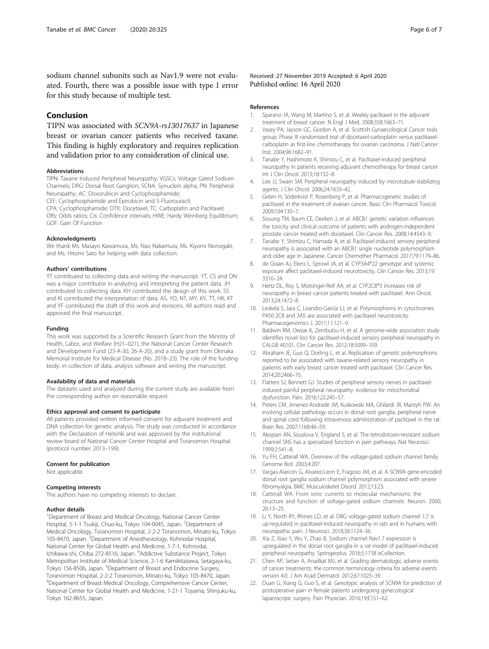<span id="page-5-0"></span>sodium channel subunits such as Nav1.9 were not evaluated. Fourth, there was a possible issue with type I error for this study because of multiple test.

# Conclusion

TIPN was associated with SCN9A-rs13017637 in Japanese breast or ovarian cancer patients who received taxane. This finding is highly exploratory and requires replication and validation prior to any consideration of clinical use.

#### Abbreviations

TIPN: Taxane Induced Peripheral Neuropathy; VGSCs: Voltage Gated Sodium Channels; DRG: Dorsal Root Ganglion; SCNA: Synuclein alpha; PN: Peripheral Neuropathy; AC: Doxorubicin and Cyclophosphamide;

CEF: Cyclophosphamide and Epirubicin and 5-Fluorouracil;

CPA: Cyclophosphamide; DTX: Docetaxel; TC: Carboplatin and Paclitaxel; ORs: Odds ratios; Cis: Confidence intervals; HWE: Hardy Weinberg Equilibrium; GOF: Gain Of Function

#### Acknowledgments

We thank Ms. Masayo Kawamura, Ms. Nao Nakamura, Ms. Kiyomi Nonogaki, and Ms. Hitomi Sato for helping with data collection.

#### Authors' contributions

YT contributed to collecting data and writing the manuscript. YT, CS and DN was a major contributor in analyzing and interpreting the patient data. JH contributed to collecting data. KH contributed the design of this work. SS and KI contributed the interpretation of data. AS, YO, NT, MY, KY, TT, HK, KT and YF contributed the draft of this work and revisions. All authors read and approved the final manuscript.

#### Funding

This work was supported by a Scientific Research Grant from the Ministry of Health, Labor, and Welfare (H21–021), the National Cancer Center Research and Development Fund (23-A-30, 26-A-20), and a study grant from Okinaka Memorial Institute for Medical Disease (No. 2018–23). The role of the funding body: in collection of data, analysis software and writing the manuscript.

#### Availability of data and materials

The datasets used and analyzed during the current study are available from the corresponding author on reasonable request.

#### Ethics approval and consent to participate

All patients provided written informed consent for adjuvant treatment and DNA collection for genetic analysis. The study was conducted in accordance with the Declaration of Helsinki and was approved by the institutional review board of National Cancer Center Hospital and Toranomon Hospital. (protocol number: 2013–199).

#### Consent for publication

Not applicable.

#### Competing interests

The authors have no competing interests to declare.

#### Author details

<sup>1</sup>Department of Breast and Medical Oncology, National Cancer Center Hospital, 5-1-1 Tsukiji, Chuo-ku, Tokyo 104-0045, Japan. <sup>2</sup>Department of Medical Oncology, Toranomon Hospital, 2-2-2 Toranomon, Minato-ku, Tokyo 105-8470, Japan. <sup>3</sup>Department of Anesthesiology, Kohnodai Hospital, National Center for Global Health and Medicine, 1-7-1, Kohnodai, Ichikawa-shi, Chiba 272-8516, Japan. <sup>4</sup>Addictive Substance Project, Tokyo Metropolitan Institute of Medical Science, 2-1-6 Kamikitazawa, Setagaya-ku, Tokyo 156-8506, Japan. <sup>5</sup>Department of Breast and Endocrine Surgery, Toranomon Hospital, 2-2-2 Toranomon, Minato-ku, Tokyo 105-8470, Japan. <sup>6</sup>Department of Breast Medical Oncology, Comprehensive Cancer Center, National Center for Global Health and Medicine, 1-21-1 Toyama, Shinjuku-ku, Tokyo 162-8655, Japan.

Received: 27 November 2019 Accepted: 6 April 2020 Published online: 16 April 2020

#### References

- 1. Sparano JA, Wang M, Martino S, et al. Weekly paclitaxel in the adjuvant treatment of breast cancer. N Engl J Med. 2008;358:1663–71.
- 2. Vasey PA, Jayson GC, Gordon A, et al. Scottish Gynaecological Cancer trials group. Phase III randomized trial of docetaxel-carboplatin versus paclitaxelcarboplatin as first-line chemotherapy for ovarian carcinoma. J Natl Cancer Inst. 2004;96:1682–91.
- 3. Tanabe Y, Hashimoto K, Shimizu C, et al. Paclitaxel-induced peripheral neuropathy in patients receiving adjuvant chemotherapy for breast cancer. Int J Clin Oncol. 2013;18:132–8.
- 4. Lee JJ, Swain SM. Peripheral neuropathy induced by microtubule-stabilizing agents. J Clin Oncol. 2006;24:1633–42.
- 5. Gréen H, Söderkvist P, Rosenberg P, et al. Pharmacogenetic studies of paclitaxel in the treatment of ovarian cancer. Basic Clin Pharmacol Toxicol. 2009;104:130–7.
- 6. Sissung TM, Baum CE, Deeken J, et al. ABCB1 genetic variation influences the toxicity and clinical outcome of patients with androgen-independent prostate cancer treated with docetaxel. Clin Cancer Res. 2008;14:4543–9.
- Tanabe Y, Shimizu C, Hamada A, et al. Paclitaxel-induced sensory peripheral neuropathy is associated with an ABCB1 single nucleotide polymorphism and older age in Japanese. Cancer Chemother Pharmacol. 2017;79:1179–86.
- de Graan AJ, Elens L, Sprowl JA, et al. CYP3A4\*22 genotype and systemic exposure affect paclitaxel-induced neurotoxicity. Clin Cancer Res. 2013;19: 3316–24.
- 9. Hertz DL, Roy S, Motsinger-Reif AA, et al. CYP2C8\*3 increases risk of neuropathy in breast cancer patients treated with paclitaxel. Ann Oncol. 2013;24:1472–8.
- 10. Leskelä S, Jara C, Leandro-García LJ, et al. Polymorphisms in cytochromes P450 2C8 and 3A5 are associated with paclitaxel neurotoxicity. Pharmacogenomics J. 2011;11:121–9.
- 11. Baldwin RM, Owzar K, Zembutsu H, et al. A genome-wide association study identifies novel loci for paclitaxel-induced sensory peripheral neuropathy in CALGB 40101. Clin Cancer Res. 2012;18:5099–109.
- 12. Abraham JE, Guo Q, Dorling L, et al. Replication of genetic polymorphisms reported to be associated with taxane-related sensory neuropathy in patients with early breast cancer treated with paclitaxel. Clin Cancer Res. 2014;20:2466–75.
- 13. Flatters SJ, Bennett GJ. Studies of peripheral sensory nerves in paclitaxelinduced painful peripheral neuropathy: evidence for mitochondrial dysfunction. Pain. 2016;122:245–57.
- 14. Peters CM, Jimenez-Andrade JM, Kuskowski MA, Ghilardi JR, Mantyh PW. An evolving cellular pathology occurs in dorsal root ganglia, peripheral nerve and spinal cord following intravenous administration of paclitaxel in the rat. Brain Res. 2007;1168:46–59.
- 15. Akopian AN, Souslova V, England S, et al. The tetrodotoxin-resistant sodium channel SNS has a specialized function in pain pathways. Nat Neurosci. 1999;2:541–8.
- 16. Yu FH, Catterall WA. Overview of the voltage-gated sodium channel family. Genome Biol. 2003;4:207.
- 17. Vargas-Alarcon G, Alvarez-Leon E, Fragoso JM, et al. A SCN9A gene-encoded dorsal root ganglia sodium channel polymorphism associated with severe fibromyalgia. BMC Musculoskelet Disord. 2012;13:23.
- 18. Catterall WA. From ionic currents to molecular mechanisms: the structure and function of voltage-gated sodium channels. Neuron. 2000; 26:13–25.
- 19. Li Y, North RY, Rhines LD, et al. DRG voltage-gated sodium channel 1.7 is up-regulated in paclitaxel-induced neuropathy in rats and in humans with neuropathic pain. J Neurosci. 2018;38:1124–36.
- 20. Xia Z, Xiao Y, Wu Y, Zhao B. Sodium channel Nav1.7 expression is upregulated in the dorsal root ganglia in a rat model of paclitaxel-induced peripheral neuropathy. Springerplus. 2016;5:1738 eCollection.
- 21. Chen AP, Setser A, Anadkat MJ, et al. Grading dermatologic adverse events of cancer treatments: the common terminology criteria for adverse events version 4.0. J Am Acad Dermatol. 2012;67:1025–39.
- 22. Duan G, Xiang G, Guo S, et al. Genotypic analysis of SCN9A for prediction of postoperative pain in female patients undergoing gynecological laparoscopic surgery. Pain Physician. 2016;19:E151–62.